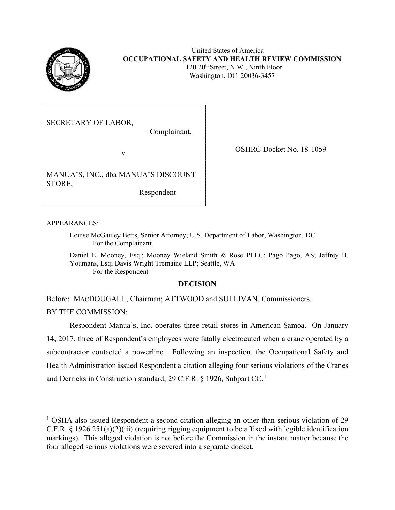

United States of America **OCCUPATIONAL SAFETY AND HEALTH REVIEW COMMISSION**  $1120 \ 20$ <sup>th</sup> Street, N.W., Ninth Floor Washington, DC 20036-3457

SECRETARY OF LABOR,

Complainant,

v.

MANUA'S, INC., dba MANUA'S DISCOUNT STORE,

Respondent

APPEARANCES:

Louise McGauley Betts, Senior Attorney; U.S. Department of Labor, Washington, DC For the Complainant

Daniel E. Mooney, Esq.; Mooney Wieland Smith & Rose PLLC; Pago Pago, AS; Jeffrey B. Youmans, Esq; Davis Wright Tremaine LLP; Seattle, WA For the Respondent

## **DECISION**

Before: MACDOUGALL, Chairman; ATTWOOD and SULLIVAN, Commissioners. BY THE COMMISSION:

 Respondent Manua's, Inc. operates three retail stores in American Samoa. On January 14, 2017, three of Respondent's employees were fatally electrocuted when a crane operated by a subcontractor contacted a powerline. Following an inspection, the Occupational Safety and Health Administration issued Respondent a citation alleging four serious violations of the Cranes and Derricks in Construction standard, 29 C.F.R. § [1](#page-0-0)926, Subpart CC.<sup>1</sup>

OSHRC Docket No. 18-1059

<span id="page-0-0"></span><sup>&</sup>lt;sup>1</sup> OSHA also issued Respondent a second citation alleging an other-than-serious violation of 29 C.F.R. § 1926.251(a)(2)(iii) (requiring rigging equipment to be affixed with legible identification markings). This alleged violation is not before the Commission in the instant matter because the four alleged serious violations were severed into a separate docket.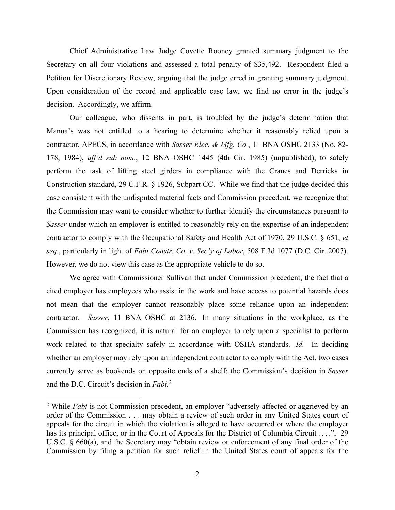Chief Administrative Law Judge Covette Rooney granted summary judgment to the Secretary on all four violations and assessed a total penalty of \$35,492. Respondent filed a Petition for Discretionary Review, arguing that the judge erred in granting summary judgment. Upon consideration of the record and applicable case law, we find no error in the judge's decision. Accordingly, we affirm.

Our colleague, who dissents in part, is troubled by the judge's determination that Manua's was not entitled to a hearing to determine whether it reasonably relied upon a contractor, APECS, in accordance with *Sasser Elec. & Mfg. Co.*, 11 BNA OSHC 2133 (No. 82- 178, 1984), *aff'd sub nom.*, 12 BNA OSHC 1445 (4th Cir. 1985) (unpublished), to safely perform the task of lifting steel girders in compliance with the Cranes and Derricks in Construction standard, 29 C.F.R. § 1926, Subpart CC. While we find that the judge decided this case consistent with the undisputed material facts and Commission precedent, we recognize that the Commission may want to consider whether to further identify the circumstances pursuant to *Sasser* under which an employer is entitled to reasonably rely on the expertise of an independent contractor to comply with the Occupational Safety and Health Act of 1970, 29 U.S.C. § 651, *et seq*., particularly in light of *Fabi Constr. Co. v. Sec'y of Labor*, 508 F.3d 1077 (D.C. Cir. 2007). However, we do not view this case as the appropriate vehicle to do so.

We agree with Commissioner Sullivan that under Commission precedent, the fact that a cited employer has employees who assist in the work and have access to potential hazards does not mean that the employer cannot reasonably place some reliance upon an independent contractor. *Sasser*, 11 BNA OSHC at 2136. In many situations in the workplace, as the Commission has recognized, it is natural for an employer to rely upon a specialist to perform work related to that specialty safely in accordance with OSHA standards. *Id.* In deciding whether an employer may rely upon an independent contractor to comply with the Act, two cases currently serve as bookends on opposite ends of a shelf: the Commission's decision in *Sasser* and the D.C. Circuit's decision in *Fabi.*[2](#page-1-0) 

<span id="page-1-0"></span><sup>&</sup>lt;sup>2</sup> While *Fabi* is not Commission precedent, an employer "adversely affected or aggrieved by an order of the Commission . . . may obtain a review of such order in any United States court of appeals for the circuit in which the violation is alleged to have occurred or where the employer has its principal office, or in the Court of Appeals for the District of Columbia Circuit . . . .", 29 U.S.C. § 660(a), and the Secretary may "obtain review or enforcement of any final order of the Commission by filing a petition for such relief in the United States court of appeals for the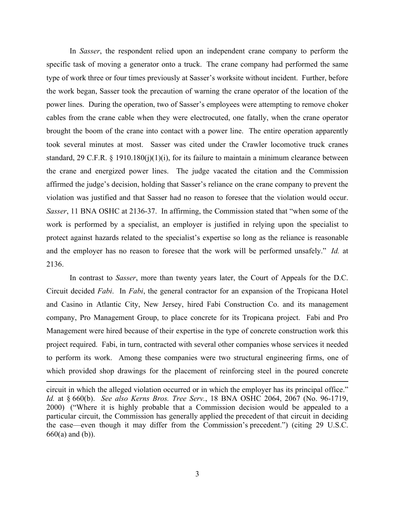In *Sasser*, the respondent relied upon an independent crane company to perform the specific task of moving a generator onto a truck. The crane company had performed the same type of work three or four times previously at Sasser's worksite without incident. Further, before the work began, Sasser took the precaution of warning the crane operator of the location of the power lines. During the operation, two of Sasser's employees were attempting to remove choker cables from the crane cable when they were electrocuted, one fatally, when the crane operator brought the boom of the crane into contact with a power line. The entire operation apparently took several minutes at most. Sasser was cited under the Crawler locomotive truck cranes standard, 29 C.F.R.  $\S$  1910.180(j)(1)(j), for its failure to maintain a minimum clearance between the crane and energized power lines. The judge vacated the citation and the Commission affirmed the judge's decision, holding that Sasser's reliance on the crane company to prevent the violation was justified and that Sasser had no reason to foresee that the violation would occur. *Sasser*, 11 BNA OSHC at 2136-37. In affirming, the Commission stated that "when some of the work is performed by a specialist, an employer is justified in relying upon the specialist to protect against hazards related to the specialist's expertise so long as the reliance is reasonable and the employer has no reason to foresee that the work will be performed unsafely." *Id.* at 2136.

In contrast to *Sasser*, more than twenty years later, the Court of Appeals for the D.C. Circuit decided *Fabi*. In *Fabi*, the general contractor for an expansion of the Tropicana Hotel and Casino in Atlantic City, New Jersey, hired Fabi Construction Co. and its management company, Pro Management Group, to place concrete for its Tropicana project. Fabi and Pro Management were hired because of their expertise in the type of concrete construction work this project required. Fabi, in turn, contracted with several other companies whose services it needed to perform its work. Among these companies were two structural engineering firms, one of which provided shop drawings for the placement of reinforcing steel in the poured concrete

circuit in which the alleged violation occurred or in which the employer has its principal office." *Id.* at § 660(b). *See also Kerns Bros. Tree Serv.*, 18 BNA OSHC 2064, 2067 (No. 96-1719, 2000) ("Where it is highly probable that a Commission decision would be appealed to a particular circuit, the Commission has generally applied the precedent of that circuit in deciding the case—even though it may differ from the Commission's precedent.") (citing 29 U.S.C. 660(a) and (b)).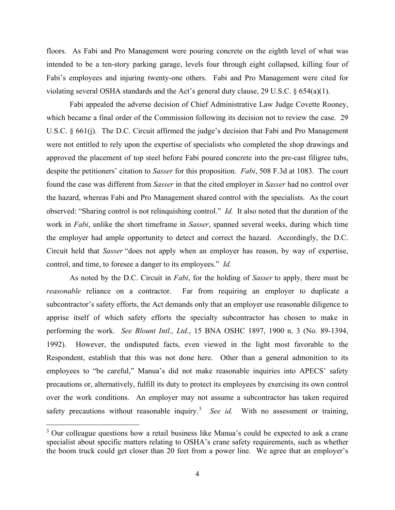floors. As Fabi and Pro Management were pouring concrete on the eighth level of what was intended to be a ten-story parking garage, levels four through eight collapsed, killing four of Fabi's employees and injuring twenty-one others. Fabi and Pro Management were cited for violating several OSHA standards and the Act's general duty clause, 29 U.S.C. § 654(a)(1).

Fabi appealed the adverse decision of Chief Administrative Law Judge Covette Rooney, which became a final order of the Commission following its decision not to review the case. 29 U.S.C. § 661(j). The D.C. Circuit affirmed the judge's decision that Fabi and Pro Management were not entitled to rely upon the expertise of specialists who completed the shop drawings and approved the placement of top steel before Fabi poured concrete into the pre-cast filigree tubs, despite the petitioners' citation to *Sasser* for this proposition. *Fabi*, 508 F.3d at 1083. The court found the case was different from *Sasser* in that the cited employer in *Sasser* had no control over the hazard, whereas Fabi and Pro Management shared control with the specialists. As the court observed: "Sharing control is not relinquishing control." *Id.* It also noted that the duration of the work in *Fabi*, unlike the short timeframe in *Sasser*, spanned several weeks, during which time the employer had ample opportunity to detect and correct the hazard. Accordingly, the D.C. Circuit held that *Sasser* "does not apply when an employer has reason, by way of expertise, control, and time, to foresee a danger to its employees." *Id.*

As noted by the D.C. Circuit in *Fabi*, for the holding of *Sasser* to apply, there must be *reasonable* reliance on a contractor. Far from requiring an employer to duplicate a subcontractor's safety efforts, the Act demands only that an employer use reasonable diligence to apprise itself of which safety efforts the specialty subcontractor has chosen to make in performing the work. *See Blount Intl*.*, Ltd.*, 15 BNA OSHC 1897, 1900 n. 3 (No. 89-1394, 1992). However, the undisputed facts, even viewed in the light most favorable to the Respondent, establish that this was not done here.Other than a general admonition to its employees to "be careful," Manua's did not make reasonable inquiries into APECS' safety precautions or, alternatively, fulfill its duty to protect its employees by exercising its own control over the work conditions. An employer may not assume a subcontractor has taken required safety precautions without reasonable inquiry.<sup>[3](#page-3-0)</sup> See id. With no assessment or training,

<span id="page-3-0"></span><sup>&</sup>lt;sup>3</sup> Our colleague questions how a retail business like Manua's could be expected to ask a crane specialist about specific matters relating to OSHA's crane safety requirements, such as whether the boom truck could get closer than 20 feet from a power line. We agree that an employer's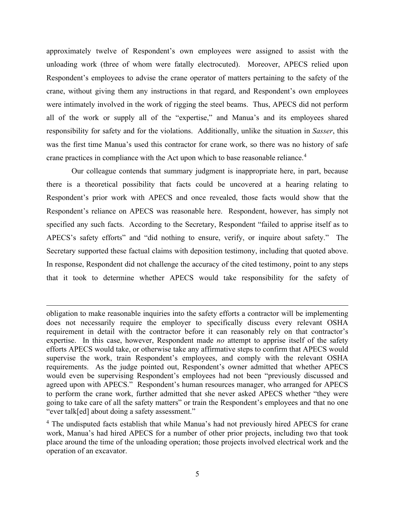approximately twelve of Respondent's own employees were assigned to assist with the unloading work (three of whom were fatally electrocuted). Moreover, APECS relied upon Respondent's employees to advise the crane operator of matters pertaining to the safety of the crane, without giving them any instructions in that regard, and Respondent's own employees were intimately involved in the work of rigging the steel beams. Thus, APECS did not perform all of the work or supply all of the "expertise," and Manua's and its employees shared responsibility for safety and for the violations.Additionally, unlike the situation in *Sasser*, this was the first time Manua's used this contractor for crane work, so there was no history of safe crane practices in compliance with the Act upon which to base reasonable reliance.<sup>[4](#page-4-0)</sup>

Our colleague contends that summary judgment is inappropriate here, in part, because there is a theoretical possibility that facts could be uncovered at a hearing relating to Respondent's prior work with APECS and once revealed, those facts would show that the Respondent's reliance on APECS was reasonable here. Respondent, however, has simply not specified any such facts. According to the Secretary, Respondent "failed to apprise itself as to APECS's safety efforts" and "did nothing to ensure, verify, or inquire about safety." The Secretary supported these factual claims with deposition testimony, including that quoted above. In response, Respondent did not challenge the accuracy of the cited testimony, point to any steps that it took to determine whether APECS would take responsibility for the safety of

obligation to make reasonable inquiries into the safety efforts a contractor will be implementing does not necessarily require the employer to specifically discuss every relevant OSHA requirement in detail with the contractor before it can reasonably rely on that contractor's expertise. In this case, however, Respondent made *no* attempt to apprise itself of the safety efforts APECS would take, or otherwise take any affirmative steps to confirm that APECS would supervise the work, train Respondent's employees, and comply with the relevant OSHA requirements. As the judge pointed out, Respondent's owner admitted that whether APECS would even be supervising Respondent's employees had not been "previously discussed and agreed upon with APECS." Respondent's human resources manager, who arranged for APECS to perform the crane work, further admitted that she never asked APECS whether "they were going to take care of all the safety matters" or train the Respondent's employees and that no one "ever talk[ed] about doing a safety assessment."

<span id="page-4-0"></span><sup>&</sup>lt;sup>4</sup> The undisputed facts establish that while Manua's had not previously hired APECS for crane work, Manua's had hired APECS for a number of other prior projects, including two that took place around the time of the unloading operation; those projects involved electrical work and the operation of an excavator.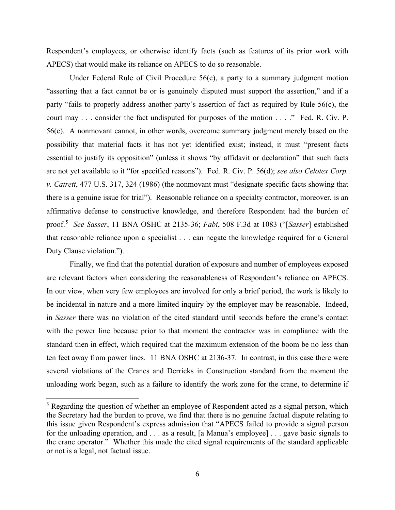Respondent's employees, or otherwise identify facts (such as features of its prior work with APECS) that would make its reliance on APECS to do so reasonable.

Under Federal Rule of Civil Procedure 56(c), a party to a summary judgment motion "asserting that a fact cannot be or is genuinely disputed must support the assertion," and if a party "fails to properly address another party's assertion of fact as required by Rule 56(c), the court may . . . consider the fact undisputed for purposes of the motion . . . ." Fed. R. Civ. P. 56(e). A nonmovant cannot, in other words, overcome summary judgment merely based on the possibility that material facts it has not yet identified exist; instead, it must "present facts essential to justify its opposition" (unless it shows "by affidavit or declaration" that such facts are not yet available to it "for specified reasons"). Fed. R. Civ. P. 56(d); *see also Celotex Corp. v. Catrett*, 477 U.S. 317, 324 (1986) (the nonmovant must "designate specific facts showing that there is a genuine issue for trial"). Reasonable reliance on a specialty contractor, moreover, is an affirmative defense to constructive knowledge, and therefore Respondent had the burden of proof.[5](#page-5-0) *See Sasser*, 11 BNA OSHC at 2135-36; *Fabi*, 508 F.3d at 1083 ("[*Sasser*] established that reasonable reliance upon a specialist . . . can negate the knowledge required for a General Duty Clause violation.").

Finally, we find that the potential duration of exposure and number of employees exposed are relevant factors when considering the reasonableness of Respondent's reliance on APECS. In our view, when very few employees are involved for only a brief period, the work is likely to be incidental in nature and a more limited inquiry by the employer may be reasonable. Indeed, in *Sasser* there was no violation of the cited standard until seconds before the crane's contact with the power line because prior to that moment the contractor was in compliance with the standard then in effect, which required that the maximum extension of the boom be no less than ten feet away from power lines. 11 BNA OSHC at 2136-37. In contrast, in this case there were several violations of the Cranes and Derricks in Construction standard from the moment the unloading work began, such as a failure to identify the work zone for the crane, to determine if

<span id="page-5-0"></span> $<sup>5</sup>$  Regarding the question of whether an employee of Respondent acted as a signal person, which</sup> the Secretary had the burden to prove, we find that there is no genuine factual dispute relating to this issue given Respondent's express admission that "APECS failed to provide a signal person for the unloading operation, and . . . as a result, [a Manua's employee] . . . gave basic signals to the crane operator." Whether this made the cited signal requirements of the standard applicable or not is a legal, not factual issue.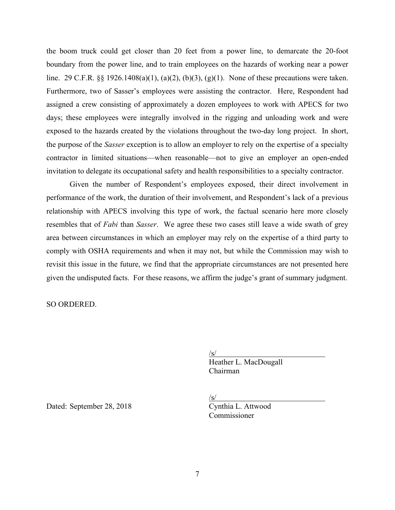the boom truck could get closer than 20 feet from a power line, to demarcate the 20-foot boundary from the power line, and to train employees on the hazards of working near a power line. 29 C.F.R. §§ 1926.1408(a)(1), (a)(2), (b)(3), (g)(1). None of these precautions were taken. Furthermore, two of Sasser's employees were assisting the contractor. Here, Respondent had assigned a crew consisting of approximately a dozen employees to work with APECS for two days; these employees were integrally involved in the rigging and unloading work and were exposed to the hazards created by the violations throughout the two-day long project. In short, the purpose of the *Sasser* exception is to allow an employer to rely on the expertise of a specialty contractor in limited situations—when reasonable—not to give an employer an open-ended invitation to delegate its occupational safety and health responsibilities to a specialty contractor.

Given the number of Respondent's employees exposed, their direct involvement in performance of the work, the duration of their involvement, and Respondent's lack of a previous relationship with APECS involving this type of work, the factual scenario here more closely resembles that of *Fabi* than *Sasser*. We agree these two cases still leave a wide swath of grey area between circumstances in which an employer may rely on the expertise of a third party to comply with OSHA requirements and when it may not, but while the Commission may wish to revisit this issue in the future, we find that the appropriate circumstances are not presented here given the undisputed facts. For these reasons, we affirm the judge's grant of summary judgment.

SO ORDERED.

/s/

 Heather L. MacDougall Chairman

 $\sqrt{s/2}$ 

Commissioner

Dated: September 28, 2018 Cynthia L. Attwood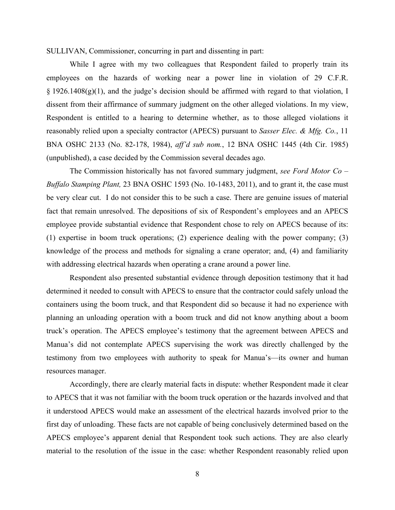SULLIVAN, Commissioner, concurring in part and dissenting in part:

While I agree with my two colleagues that Respondent failed to properly train its employees on the hazards of working near a power line in violation of 29 C.F.R. § 1926.1408(g)(1), and the judge's decision should be affirmed with regard to that violation, I dissent from their affirmance of summary judgment on the other alleged violations. In my view, Respondent is entitled to a hearing to determine whether, as to those alleged violations it reasonably relied upon a specialty contractor (APECS) pursuant to *Sasser Elec. & Mfg. Co.*, 11 BNA OSHC 2133 (No. 82-178, 1984), *aff'd sub nom.*, 12 BNA OSHC 1445 (4th Cir. 1985) (unpublished), a case decided by the Commission several decades ago.

The Commission historically has not favored summary judgment, *see Ford Motor Co – Buffalo Stamping Plant,* 23 BNA OSHC 1593 (No. 10-1483, 2011), and to grant it, the case must be very clear cut. I do not consider this to be such a case. There are genuine issues of material fact that remain unresolved. The depositions of six of Respondent's employees and an APECS employee provide substantial evidence that Respondent chose to rely on APECS because of its: (1) expertise in boom truck operations; (2) experience dealing with the power company; (3) knowledge of the process and methods for signaling a crane operator; and, (4) and familiarity with addressing electrical hazards when operating a crane around a power line.

Respondent also presented substantial evidence through deposition testimony that it had determined it needed to consult with APECS to ensure that the contractor could safely unload the containers using the boom truck, and that Respondent did so because it had no experience with planning an unloading operation with a boom truck and did not know anything about a boom truck's operation. The APECS employee's testimony that the agreement between APECS and Manua's did not contemplate APECS supervising the work was directly challenged by the testimony from two employees with authority to speak for Manua's—its owner and human resources manager.

Accordingly, there are clearly material facts in dispute: whether Respondent made it clear to APECS that it was not familiar with the boom truck operation or the hazards involved and that it understood APECS would make an assessment of the electrical hazards involved prior to the first day of unloading. These facts are not capable of being conclusively determined based on the APECS employee's apparent denial that Respondent took such actions. They are also clearly material to the resolution of the issue in the case: whether Respondent reasonably relied upon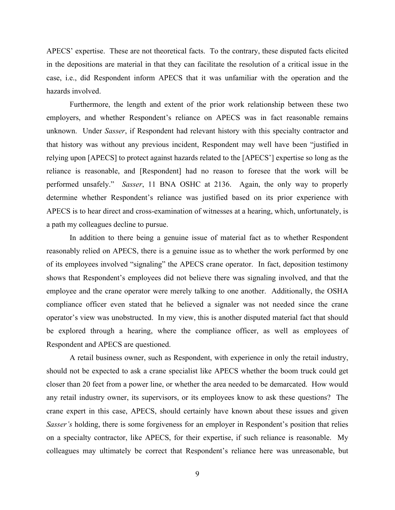APECS' expertise. These are not theoretical facts. To the contrary, these disputed facts elicited in the depositions are material in that they can facilitate the resolution of a critical issue in the case, i.e., did Respondent inform APECS that it was unfamiliar with the operation and the hazards involved.

Furthermore, the length and extent of the prior work relationship between these two employers, and whether Respondent's reliance on APECS was in fact reasonable remains unknown. Under *Sasser*, if Respondent had relevant history with this specialty contractor and that history was without any previous incident, Respondent may well have been "justified in relying upon [APECS] to protect against hazards related to the [APECS'] expertise so long as the reliance is reasonable, and [Respondent] had no reason to foresee that the work will be performed unsafely." *Sasser*, 11 BNA OSHC at 2136. Again, the only way to properly determine whether Respondent's reliance was justified based on its prior experience with APECS is to hear direct and cross-examination of witnesses at a hearing, which, unfortunately, is a path my colleagues decline to pursue.

In addition to there being a genuine issue of material fact as to whether Respondent reasonably relied on APECS, there is a genuine issue as to whether the work performed by one of its employees involved "signaling" the APECS crane operator. In fact, deposition testimony shows that Respondent's employees did not believe there was signaling involved, and that the employee and the crane operator were merely talking to one another. Additionally, the OSHA compliance officer even stated that he believed a signaler was not needed since the crane operator's view was unobstructed. In my view, this is another disputed material fact that should be explored through a hearing, where the compliance officer, as well as employees of Respondent and APECS are questioned.

A retail business owner, such as Respondent, with experience in only the retail industry, should not be expected to ask a crane specialist like APECS whether the boom truck could get closer than 20 feet from a power line, or whether the area needed to be demarcated. How would any retail industry owner, its supervisors, or its employees know to ask these questions? The crane expert in this case, APECS, should certainly have known about these issues and given *Sasser's* holding, there is some forgiveness for an employer in Respondent's position that relies on a specialty contractor, like APECS, for their expertise, if such reliance is reasonable. My colleagues may ultimately be correct that Respondent's reliance here was unreasonable, but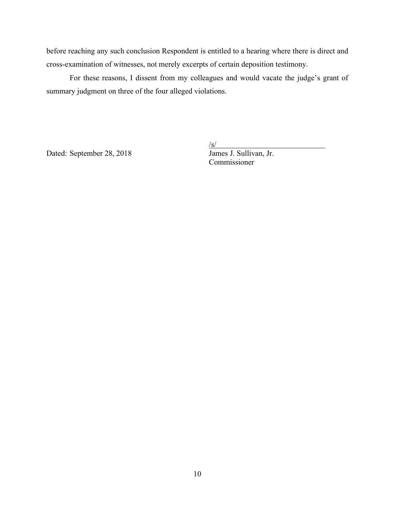before reaching any such conclusion Respondent is entitled to a hearing where there is direct and cross-examination of witnesses, not merely excerpts of certain deposition testimony.

For these reasons, I dissent from my colleagues and would vacate the judge's grant of summary judgment on three of the four alleged violations.

Dated: September 28, 2018  $\frac{S}{\text{James J. Sullivan, Jr.}}$ 

 $\sqrt{s/2}$ 

Commissioner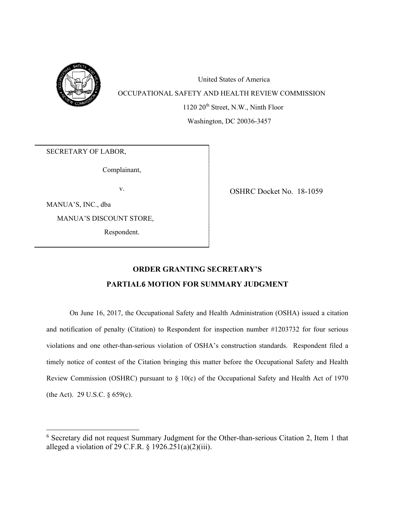

United States of America OCCUPATIONAL SAFETY AND HEALTH REVIEW COMMISSION

1120 20<sup>th</sup> Street, N.W., Ninth Floor

Washington, DC 20036-3457

SECRETARY OF LABOR,

Complainant,

MANUA'S, INC., dba

MANUA'S DISCOUNT STORE,

Respondent.

v. OSHRC Docket No. 18-1059

# **ORDER GRANTING SECRETARY'S PARTIAL[6](#page-10-0) MOTION FOR SUMMARY JUDGMENT**

On June 16, 2017, the Occupational Safety and Health Administration (OSHA) issued a citation and notification of penalty (Citation) to Respondent for inspection number #1203732 for four serious violations and one other-than-serious violation of OSHA's construction standards. Respondent filed a timely notice of contest of the Citation bringing this matter before the Occupational Safety and Health Review Commission (OSHRC) pursuant to § 10(c) of the Occupational Safety and Health Act of 1970 (the Act). 29 U.S.C. § 659(c).

<span id="page-10-0"></span><sup>6</sup> Secretary did not request Summary Judgment for the Other-than-serious Citation 2, Item 1 that alleged a violation of 29 C.F.R.  $\S 1926.251(a)(2)(iii)$ .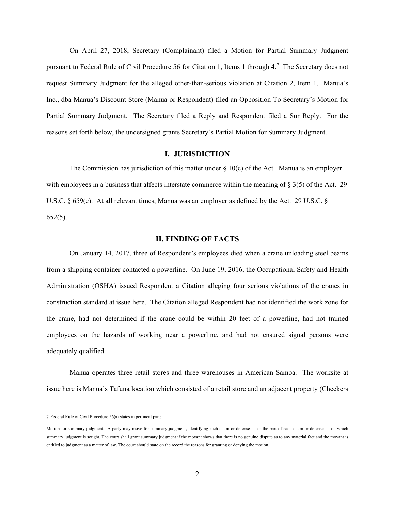On April 27, 2018, Secretary (Complainant) filed a Motion for Partial Summary Judgment pursuant to Federal Rule of Civil Procedure 56 for Citation 1, Items 1 through 4.<sup>[7](#page-11-0)</sup> The Secretary does not request Summary Judgment for the alleged other-than-serious violation at Citation 2, Item 1. Manua's Inc., dba Manua's Discount Store (Manua or Respondent) filed an Opposition To Secretary's Motion for Partial Summary Judgment. The Secretary filed a Reply and Respondent filed a Sur Reply. For the reasons set forth below, the undersigned grants Secretary's Partial Motion for Summary Judgment.

## **I. JURISDICTION**

The Commission has jurisdiction of this matter under  $\S$  10(c) of the Act. Manua is an employer with employees in a business that affects interstate commerce within the meaning of  $\S 3(5)$  of the Act. 29 U.S.C. § 659(c). At all relevant times, Manua was an employer as defined by the Act. 29 U.S.C. § 652(5).

## **II. FINDING OF FACTS**

On January 14, 2017, three of Respondent's employees died when a crane unloading steel beams from a shipping container contacted a powerline. On June 19, 2016, the Occupational Safety and Health Administration (OSHA) issued Respondent a Citation alleging four serious violations of the cranes in construction standard at issue here. The Citation alleged Respondent had not identified the work zone for the crane, had not determined if the crane could be within 20 feet of a powerline, had not trained employees on the hazards of working near a powerline, and had not ensured signal persons were adequately qualified.

Manua operates three retail stores and three warehouses in American Samoa. The worksite at issue here is Manua's Tafuna location which consisted of a retail store and an adjacent property (Checkers

<span id="page-11-0"></span><sup>7</sup> Federal Rule of Civil Procedure 56(a) states in pertinent part:

Motion for summary judgment. A party may move for summary judgment, identifying each claim or defense — or the part of each claim or defense — on which summary judgment is sought. The court shall grant summary judgment if the movant shows that there is no genuine dispute as to any material fact and the movant is entitled to judgment as a matter of law. The court should state on the record the reasons for granting or denying the motion.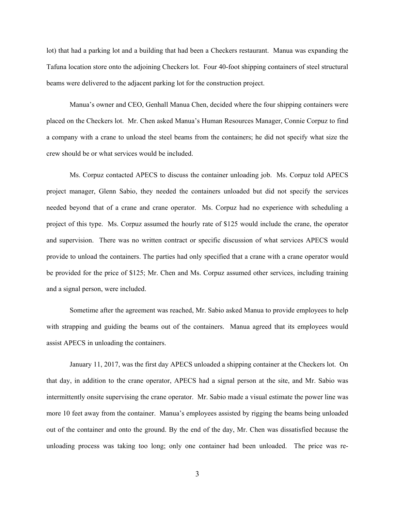lot) that had a parking lot and a building that had been a Checkers restaurant. Manua was expanding the Tafuna location store onto the adjoining Checkers lot. Four 40-foot shipping containers of steel structural beams were delivered to the adjacent parking lot for the construction project.

Manua's owner and CEO, Genhall Manua Chen, decided where the four shipping containers were placed on the Checkers lot. Mr. Chen asked Manua's Human Resources Manager, Connie Corpuz to find a company with a crane to unload the steel beams from the containers; he did not specify what size the crew should be or what services would be included.

Ms. Corpuz contacted APECS to discuss the container unloading job. Ms. Corpuz told APECS project manager, Glenn Sabio, they needed the containers unloaded but did not specify the services needed beyond that of a crane and crane operator. Ms. Corpuz had no experience with scheduling a project of this type. Ms. Corpuz assumed the hourly rate of \$125 would include the crane, the operator and supervision. There was no written contract or specific discussion of what services APECS would provide to unload the containers. The parties had only specified that a crane with a crane operator would be provided for the price of \$125; Mr. Chen and Ms. Corpuz assumed other services, including training and a signal person, were included.

Sometime after the agreement was reached, Mr. Sabio asked Manua to provide employees to help with strapping and guiding the beams out of the containers. Manua agreed that its employees would assist APECS in unloading the containers.

January 11, 2017, was the first day APECS unloaded a shipping container at the Checkers lot. On that day, in addition to the crane operator, APECS had a signal person at the site, and Mr. Sabio was intermittently onsite supervising the crane operator. Mr. Sabio made a visual estimate the power line was more 10 feet away from the container. Manua's employees assisted by rigging the beams being unloaded out of the container and onto the ground. By the end of the day, Mr. Chen was dissatisfied because the unloading process was taking too long; only one container had been unloaded. The price was re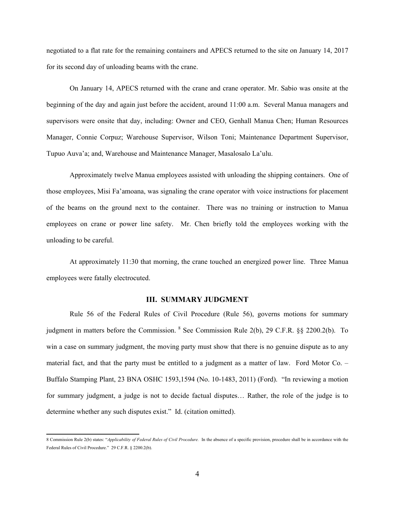negotiated to a flat rate for the remaining containers and APECS returned to the site on January 14, 2017 for its second day of unloading beams with the crane.

On January 14, APECS returned with the crane and crane operator. Mr. Sabio was onsite at the beginning of the day and again just before the accident, around 11:00 a.m. Several Manua managers and supervisors were onsite that day, including: Owner and CEO, Genhall Manua Chen; Human Resources Manager, Connie Corpuz; Warehouse Supervisor, Wilson Toni; Maintenance Department Supervisor, Tupuo Auva'a; and, Warehouse and Maintenance Manager, Masalosalo La'ulu.

Approximately twelve Manua employees assisted with unloading the shipping containers. One of those employees, Misi Fa'amoana, was signaling the crane operator with voice instructions for placement of the beams on the ground next to the container. There was no training or instruction to Manua employees on crane or power line safety. Mr. Chen briefly told the employees working with the unloading to be careful.

At approximately 11:30 that morning, the crane touched an energized power line. Three Manua employees were fatally electrocuted.

#### **III. SUMMARY JUDGMENT**

Rule 56 of the Federal Rules of Civil Procedure (Rule 56), governs motions for summary judgment in matters before the Commission. [8](#page-13-0) See Commission Rule 2(b), 29 C.F.R. §§ 2200.2(b). To win a case on summary judgment, the moving party must show that there is no genuine dispute as to any material fact, and that the party must be entitled to a judgment as a matter of law. Ford Motor Co. – Buffalo Stamping Plant, 23 BNA OSHC 1593,1594 (No. 10-1483, 2011) (Ford). "In reviewing a motion for summary judgment, a judge is not to decide factual disputes… Rather, the role of the judge is to determine whether any such disputes exist." Id. (citation omitted).

<span id="page-13-0"></span><sup>8</sup> Commission Rule 2(b) states: "*Applicability of Federal Rules of Civil Procedure.* In the absence of a specific provision, procedure shall be in accordance with the Federal Rules of Civil Procedure." 29 C.F.R. § 2200.2(b).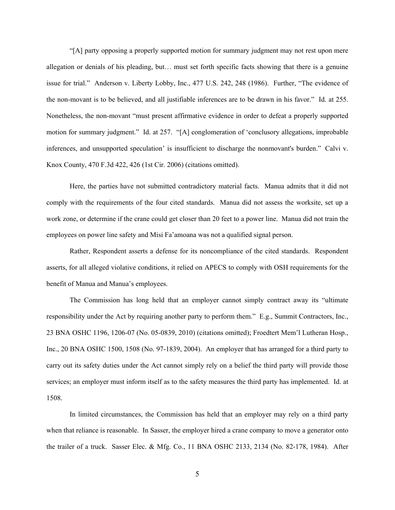"[A] party opposing a properly supported motion for summary judgment may not rest upon mere allegation or denials of his pleading, but… must set forth specific facts showing that there is a genuine issue for trial." Anderson v. Liberty Lobby, Inc., 477 U.S. 242, 248 (1986). Further, "The evidence of the non-movant is to be believed, and all justifiable inferences are to be drawn in his favor." Id. at 255. Nonetheless, the non-movant "must present affirmative evidence in order to defeat a properly supported motion for summary judgment." Id. at 257. "[A] conglomeration of 'conclusory allegations, improbable inferences, and unsupported speculation' is insufficient to discharge the nonmovant's burden." Calvi v. Knox County, 470 F.3d 422, 426 (1st Cir. 2006) (citations omitted).

Here, the parties have not submitted contradictory material facts. Manua admits that it did not comply with the requirements of the four cited standards. Manua did not assess the worksite, set up a work zone, or determine if the crane could get closer than 20 feet to a power line. Manua did not train the employees on power line safety and Misi Fa'amoana was not a qualified signal person.

Rather, Respondent asserts a defense for its noncompliance of the cited standards. Respondent asserts, for all alleged violative conditions, it relied on APECS to comply with OSH requirements for the benefit of Manua and Manua's employees.

The Commission has long held that an employer cannot simply contract away its "ultimate responsibility under the Act by requiring another party to perform them." E.g., Summit Contractors, Inc., 23 BNA OSHC 1196, 1206-07 (No. 05-0839, 2010) (citations omitted); Froedtert Mem'l Lutheran Hosp., Inc., 20 BNA OSHC 1500, 1508 (No. 97-1839, 2004). An employer that has arranged for a third party to carry out its safety duties under the Act cannot simply rely on a belief the third party will provide those services; an employer must inform itself as to the safety measures the third party has implemented. Id. at 1508.

In limited circumstances, the Commission has held that an employer may rely on a third party when that reliance is reasonable. In Sasser, the employer hired a crane company to move a generator onto the trailer of a truck. Sasser Elec. & Mfg. Co., 11 BNA OSHC 2133, 2134 (No. 82-178, 1984). After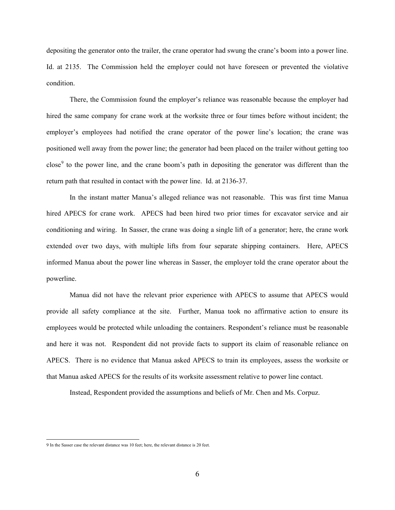depositing the generator onto the trailer, the crane operator had swung the crane's boom into a power line. Id. at 2135. The Commission held the employer could not have foreseen or prevented the violative condition.

There, the Commission found the employer's reliance was reasonable because the employer had hired the same company for crane work at the worksite three or four times before without incident; the employer's employees had notified the crane operator of the power line's location; the crane was positioned well away from the power line; the generator had been placed on the trailer without getting too close<sup>[9](#page-15-0)</sup> to the power line, and the crane boom's path in depositing the generator was different than the return path that resulted in contact with the power line. Id. at 2136-37.

In the instant matter Manua's alleged reliance was not reasonable. This was first time Manua hired APECS for crane work. APECS had been hired two prior times for excavator service and air conditioning and wiring. In Sasser, the crane was doing a single lift of a generator; here, the crane work extended over two days, with multiple lifts from four separate shipping containers. Here, APECS informed Manua about the power line whereas in Sasser, the employer told the crane operator about the powerline.

Manua did not have the relevant prior experience with APECS to assume that APECS would provide all safety compliance at the site. Further, Manua took no affirmative action to ensure its employees would be protected while unloading the containers. Respondent's reliance must be reasonable and here it was not. Respondent did not provide facts to support its claim of reasonable reliance on APECS. There is no evidence that Manua asked APECS to train its employees, assess the worksite or that Manua asked APECS for the results of its worksite assessment relative to power line contact.

Instead, Respondent provided the assumptions and beliefs of Mr. Chen and Ms. Corpuz.

<span id="page-15-0"></span><sup>9</sup> In the Sasser case the relevant distance was 10 feet; here, the relevant distance is 20 feet.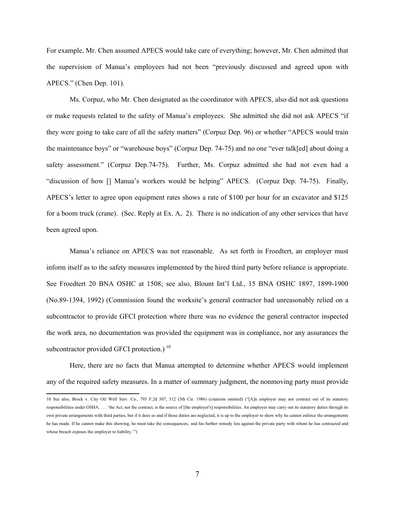For example, Mr. Chen assumed APECS would take care of everything; however, Mr. Chen admitted that the supervision of Manua's employees had not been "previously discussed and agreed upon with APECS." (Chen Dep. 101).

Ms. Corpuz, who Mr. Chen designated as the coordinator with APECS, also did not ask questions or make requests related to the safety of Manua's employees. She admitted she did not ask APECS "if they were going to take care of all the safety matters" (Corpuz Dep. 96) or whether "APECS would train the maintenance boys" or "warehouse boys" (Corpuz Dep. 74-75) and no one "ever talk[ed] about doing a safety assessment." (Corpuz Dep.74-75). Further, Ms. Corpuz admitted she had not even had a "discussion of how [] Manua's workers would be helping" APECS. (Corpuz Dep. 74-75). Finally, APECS's letter to agree upon equipment rates shows a rate of \$100 per hour for an excavator and \$125 for a boom truck (crane). (Sec. Reply at Ex. A, 2). There is no indication of any other services that have been agreed upon.

Manua's reliance on APECS was not reasonable. As set forth in Froedtert, an employer must inform itself as to the safety measures implemented by the hired third party before reliance is appropriate. See Froedtert 20 BNA OSHC at 1508; see also, Blount Int'l Ltd., 15 BNA OSHC 1897, 1899-1900 (No.89-1394, 1992) (Commission found the worksite's general contractor had unreasonably relied on a subcontractor to provide GFCI protection where there was no evidence the general contractor inspected the work area, no documentation was provided the equipment was in compliance, nor any assurances the subcontractor provided GFCI protection.)  $10$ 

Here, there are no facts that Manua attempted to determine whether APECS would implement any of the required safety measures. In a matter of summary judgment, the nonmoving party must provide

<span id="page-16-0"></span><sup>10</sup> See also, Brock v. City Oil Well Serv. Co., 795 F.2d 507, 512 (5th Cir. 1986) (citations omitted) ("[A]n employer may not contract out of its statutory responsibilities under OSHA. . . . 'the Act, not the contract, is the source of [the employer's] responsibilities. An employer may carry out its statutory duties through its own private arrangements with third parties, but if it does so and if those duties are neglected, it is up to the employer to show why he cannot enforce the arrangements he has made. If he cannot make this showing, he must take the consequences, and his further remedy lies against the private party with whom he has contracted and whose breach exposes the employer to liability.'")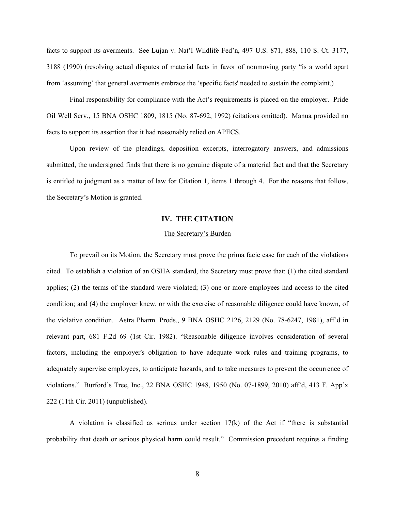facts to support its averments. See Lujan v. Nat'l Wildlife Fed'n, 497 U.S. 871, 888, 110 S. Ct. 3177, 3188 (1990) (resolving actual disputes of material facts in favor of nonmoving party "is a world apart from 'assuming' that general averments embrace the 'specific facts' needed to sustain the complaint.)

Final responsibility for compliance with the Act's requirements is placed on the employer. Pride Oil Well Serv., 15 BNA OSHC 1809, 1815 (No. 87-692, 1992) (citations omitted). Manua provided no facts to support its assertion that it had reasonably relied on APECS.

Upon review of the pleadings, deposition excerpts, interrogatory answers, and admissions submitted, the undersigned finds that there is no genuine dispute of a material fact and that the Secretary is entitled to judgment as a matter of law for Citation 1, items 1 through 4. For the reasons that follow, the Secretary's Motion is granted.

## **IV. THE CITATION**

#### The Secretary's Burden

To prevail on its Motion, the Secretary must prove the prima facie case for each of the violations cited. To establish a violation of an OSHA standard, the Secretary must prove that: (1) the cited standard applies; (2) the terms of the standard were violated; (3) one or more employees had access to the cited condition; and (4) the employer knew, or with the exercise of reasonable diligence could have known, of the violative condition. Astra Pharm. Prods., 9 BNA OSHC 2126, 2129 (No. 78-6247, 1981), aff'd in relevant part, 681 F.2d 69 (1st Cir. 1982). "Reasonable diligence involves consideration of several factors, including the employer's obligation to have adequate work rules and training programs, to adequately supervise employees, to anticipate hazards, and to take measures to prevent the occurrence of violations." Burford's Tree, Inc., 22 BNA OSHC 1948, 1950 (No. 07-1899, 2010) aff'd, 413 F. App'x 222 (11th Cir. 2011) (unpublished).

A violation is classified as serious under section  $17(k)$  of the Act if "there is substantial probability that death or serious physical harm could result." Commission precedent requires a finding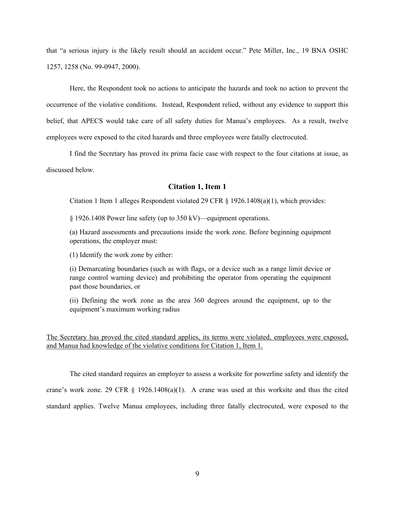that "a serious injury is the likely result should an accident occur." Pete Miller, Inc., 19 BNA OSHC 1257, 1258 (No. 99-0947, 2000).

Here, the Respondent took no actions to anticipate the hazards and took no action to prevent the occurrence of the violative conditions. Instead, Respondent relied, without any evidence to support this belief, that APECS would take care of all safety duties for Manua's employees. As a result, twelve employees were exposed to the cited hazards and three employees were fatally electrocuted.

I find the Secretary has proved its prima facie case with respect to the four citations at issue, as discussed below.

## **Citation 1, Item 1**

Citation 1 Item 1 alleges Respondent violated 29 CFR  $\S$  1926.1408(a)(1), which provides:

§ 1926.1408 Power line safety (up to 350 kV)—equipment operations.

(a) Hazard assessments and precautions inside the work zone. Before beginning equipment operations, the employer must:

(1) Identify the work zone by either:

(i) Demarcating boundaries (such as with flags, or a device such as a range limit device or range control warning device) and prohibiting the operator from operating the equipment past those boundaries, or

(ii) Defining the work zone as the area 360 degrees around the equipment, up to the equipment's maximum working radius

The Secretary has proved the cited standard applies, its terms were violated, employees were exposed, and Manua had knowledge of the violative conditions for Citation 1, Item 1.

The cited standard requires an employer to assess a worksite for powerline safety and identify the crane's work zone. 29 CFR § 1926.1408(a)(1). A crane was used at this worksite and thus the cited standard applies. Twelve Manua employees, including three fatally electrocuted, were exposed to the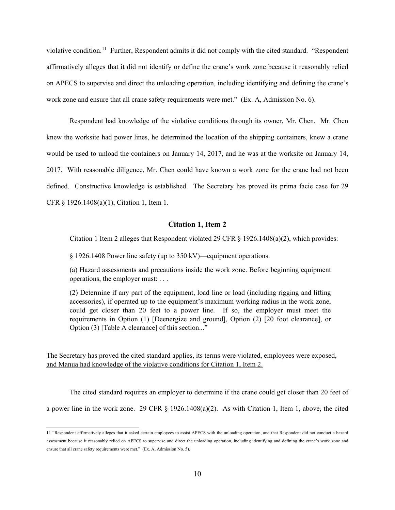violative condition.<sup>[11](#page-19-0)</sup> Further, Respondent admits it did not comply with the cited standard. "Respondent" affirmatively alleges that it did not identify or define the crane's work zone because it reasonably relied on APECS to supervise and direct the unloading operation, including identifying and defining the crane's work zone and ensure that all crane safety requirements were met." (Ex. A, Admission No. 6).

Respondent had knowledge of the violative conditions through its owner, Mr. Chen. Mr. Chen knew the worksite had power lines, he determined the location of the shipping containers, knew a crane would be used to unload the containers on January 14, 2017, and he was at the worksite on January 14, 2017. With reasonable diligence, Mr. Chen could have known a work zone for the crane had not been defined. Constructive knowledge is established. The Secretary has proved its prima facie case for 29 CFR § 1926.1408(a)(1), Citation 1, Item 1.

### **Citation 1, Item 2**

Citation 1 Item 2 alleges that Respondent violated 29 CFR  $\S$  1926.1408(a)(2), which provides:

§ 1926.1408 Power line safety (up to 350 kV)—equipment operations.

(a) Hazard assessments and precautions inside the work zone. Before beginning equipment operations, the employer must: . . .

(2) Determine if any part of the equipment, load line or load (including rigging and lifting accessories), if operated up to the equipment's maximum working radius in the work zone, could get closer than 20 feet to a power line. If so, the employer must meet the requirements in Option (1) [Deenergize and ground], Option (2) [20 foot clearance], or Option (3) [Table A clearance] of this section..."

The Secretary has proved the cited standard applies, its terms were violated, employees were exposed, and Manua had knowledge of the violative conditions for Citation 1, Item 2.

The cited standard requires an employer to determine if the crane could get closer than 20 feet of a power line in the work zone. 29 CFR § 1926.1408(a)(2). As with Citation 1, Item 1, above, the cited

<span id="page-19-0"></span><sup>11</sup> "Respondent affirmatively alleges that it asked certain employees to assist APECS with the unloading operation, and that Respondent did not conduct a hazard assessment because it reasonably relied on APECS to supervise and direct the unloading operation, including identifying and defining the crane's work zone and ensure that all crane safety requirements were met." (Ex. A, Admission No. 5).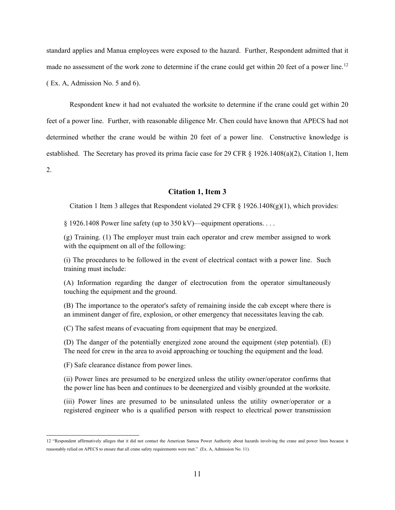standard applies and Manua employees were exposed to the hazard. Further, Respondent admitted that it made no assessment of the work zone to determine if the crane could get within 20 feet of a power line.<sup>[12](#page-20-0)</sup> ( Ex. A, Admission No. 5 and 6).

Respondent knew it had not evaluated the worksite to determine if the crane could get within 20 feet of a power line. Further, with reasonable diligence Mr. Chen could have known that APECS had not determined whether the crane would be within 20 feet of a power line. Constructive knowledge is established. The Secretary has proved its prima facie case for 29 CFR § 1926.1408(a)(2), Citation 1, Item 2.

**Citation 1, Item 3**

Citation 1 Item 3 alleges that Respondent violated 29 CFR  $\S$  1926.1408(g)(1), which provides:

§ 1926.1408 Power line safety (up to 350 kV)—equipment operations. . . .

(g) Training. (1) The employer must train each operator and crew member assigned to work with the equipment on all of the following:

(i) The procedures to be followed in the event of electrical contact with a power line. Such training must include:

(A) Information regarding the danger of electrocution from the operator simultaneously touching the equipment and the ground.

(B) The importance to the operator's safety of remaining inside the cab except where there is an imminent danger of fire, explosion, or other emergency that necessitates leaving the cab.

(C) The safest means of evacuating from equipment that may be energized.

(D) The danger of the potentially energized zone around the equipment (step potential). (E) The need for crew in the area to avoid approaching or touching the equipment and the load.

(F) Safe clearance distance from power lines.

(ii) Power lines are presumed to be energized unless the utility owner/operator confirms that the power line has been and continues to be deenergized and visibly grounded at the worksite.

(iii) Power lines are presumed to be uninsulated unless the utility owner/operator or a registered engineer who is a qualified person with respect to electrical power transmission

<span id="page-20-0"></span><sup>12</sup> "Respondent affirmatively alleges that it did not contact the American Samoa Power Authority about hazards involving the crane and power lines because it reasonably relied on APECS to ensure that all crane safety requirements were met." (Ex. A, Admission No. 11).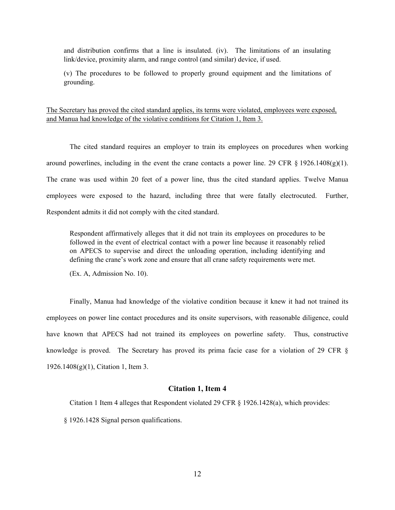and distribution confirms that a line is insulated. (iv). The limitations of an insulating link/device, proximity alarm, and range control (and similar) device, if used.

(v) The procedures to be followed to properly ground equipment and the limitations of grounding.

The Secretary has proved the cited standard applies, its terms were violated, employees were exposed, and Manua had knowledge of the violative conditions for Citation 1, Item 3.

The cited standard requires an employer to train its employees on procedures when working around powerlines, including in the event the crane contacts a power line. 29 CFR  $\S$  1926.1408(g)(1). The crane was used within 20 feet of a power line, thus the cited standard applies. Twelve Manua employees were exposed to the hazard, including three that were fatally electrocuted. Further, Respondent admits it did not comply with the cited standard.

Respondent affirmatively alleges that it did not train its employees on procedures to be followed in the event of electrical contact with a power line because it reasonably relied on APECS to supervise and direct the unloading operation, including identifying and defining the crane's work zone and ensure that all crane safety requirements were met.

(Ex. A, Admission No. 10).

Finally, Manua had knowledge of the violative condition because it knew it had not trained its employees on power line contact procedures and its onsite supervisors, with reasonable diligence, could have known that APECS had not trained its employees on powerline safety. Thus, constructive knowledge is proved. The Secretary has proved its prima facie case for a violation of 29 CFR § 1926.1408(g)(1), Citation 1, Item 3.

#### **Citation 1, Item 4**

Citation 1 Item 4 alleges that Respondent violated 29 CFR § 1926.1428(a), which provides:

§ 1926.1428 Signal person qualifications.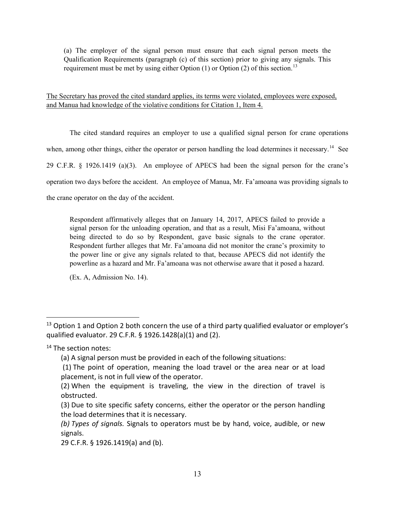(a) The employer of the signal person must ensure that each signal person meets the Qualification Requirements (paragraph (c) of this section) prior to giving any signals. This requirement must be met by using either Option  $(1)$  or Option  $(2)$  of this section.<sup>[13](#page-22-0)</sup>

The Secretary has proved the cited standard applies, its terms were violated, employees were exposed, and Manua had knowledge of the violative conditions for Citation 1, Item 4.

The cited standard requires an employer to use a qualified signal person for crane operations when, among other things, either the operator or person handling the load determines it necessary.<sup>14</sup> See 29 C.F.R. § 1926.1419 (a)(3). An employee of APECS had been the signal person for the crane's operation two days before the accident. An employee of Manua, Mr. Fa'amoana was providing signals to the crane operator on the day of the accident.

Respondent affirmatively alleges that on January 14, 2017, APECS failed to provide a signal person for the unloading operation, and that as a result, Misi Fa'amoana, without being directed to do so by Respondent, gave basic signals to the crane operator. Respondent further alleges that Mr. Fa'amoana did not monitor the crane's proximity to the power line or give any signals related to that, because APECS did not identify the powerline as a hazard and Mr. Fa'amoana was not otherwise aware that it posed a hazard.

(Ex. A, Admission No. 14).

<span id="page-22-0"></span> $13$  Option 1 and Option 2 both concern the use of a third party qualified evaluator or employer's qualified evaluator. 29 C.F.R. § 1926.1428(a)(1) and (2).

<span id="page-22-1"></span><sup>&</sup>lt;sup>14</sup> The section notes:

<sup>(</sup>a) A signal person must be provided in each of the following situations:

<sup>(1)</sup> The point of operation, meaning the load travel or the area near or at load placement, is not in full view of the operator.

<sup>(2)</sup> When the equipment is traveling, the view in the direction of travel is obstructed.

<sup>(3)</sup> Due to site specific safety concerns, either the operator or the person handling the load determines that it is necessary.

*<sup>(</sup>b) Types of signals.* Signals to operators must be by hand, voice, audible, or new signals.

<sup>29</sup> C.F.R. § 1926.1419(a) and (b).